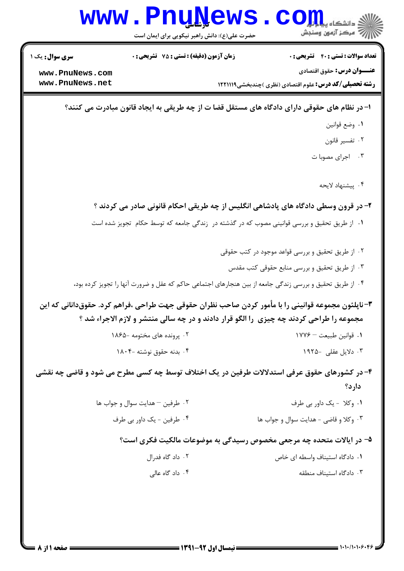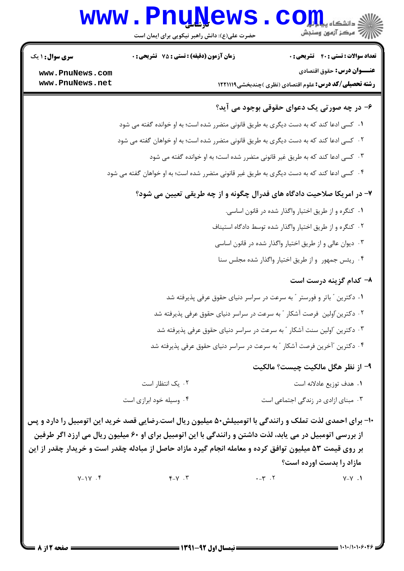# **www.PnuNews.com** ے<br>ا*للہ* مرکز آزمون وسنجش

حضرت علی(ع): دانش راهبر نیکویی برای ایمان است

**تعداد سوالات : تستي : 40 - تشريحي : 0** 

**زمان آزمون (دقیقه) : تستی : 75 ٪ تشریحی : 0** 

عنـــوان درس: حقوق اقتصادي

**رشته تحصیلی/کد درس: ع**لوم اقتصادی (نظری )چندبخشی1۲۲۱۱۱۹

www.PnuNews.com www.PnuNews.net

**سری سوال : ۱ یک** 

## ۶– در چه صورتی یک دعوای حقوقی بوجود می آید؟

- ١. كسى ادعا كند كه به دست ديگرى به طريق قانونى متضرر شده است؛ به او خوانده گفته مى شود
- ۲ . کسی ادعا کند که به دست دیگری به طریق قانونی متضرر شده است؛ به او خواهان گفته می شود
	- ۰۳ کسی ادعا کند که به طریق غیر قانونی متضرر شده است؛ به او خوانده گفته می شود
- ۰۴ کسی ادعا کند که به دست دیگری به طریق غیر قانونی متضرر شده است؛ به او خواهان گفته می شود

### ٧- در امريكا صلاحيت دادگاه هاي فدرال چگونه و از چه طريقي تعيين مي شود؟

- ۰۱ کنگره و از طریق اختیار واگذار شده در قانون اساسی.
- ۰۲ کنگره و از طریق اختیار واگذار شده توسط دادگاه استیناف
- ۰۳ دیوان عالی و از طریق اختیار واگذار شده در قانون اساسی
- ۰۴ ریئس جمهور و از طریق اختیار واگذار شده مجلس سنا

### ۸- کدام گز بنه درست است

۰۱ دکترین ″ باتر و فورستر ″ به سرعت در سراسر دنیای حقوق عرفی پذیرفته شد ۲ . دکترین ّاولین ِفرصت آشکار ″ به سرعت در سراسر دنیای حقوق عرفی پذیرفته شد ۰۳ دکترین آولین سنت آشکار ″ به سرعت در سراسر دنیای حقوق عرفی پذیرفته شد ۰۴ دکترین "آخرین فرصت آشکار " به سرعت در سراسر دنیای حقوق عرفی پذیرفته شد

### ٩- از نظر هگل مالکيت چيست؟ مالکيت

- ۰۲ یک انتظا, است ۰۱ هدف توزیع عادلانه است ۰۳ مېنای ازادی د<sub>ر ذ</sub>ندگی اجتماعی است ۰۴ وسیله خود ابرازی است
- ۱۰- برای احمدی لذت تملک و رانندگی با اتومبیلش۵۰ میلیون ریال است.رضایی قصد خرید این اتومبیل را دارد و پس از بررسی اتومبیل در می پابد، لذت داشتن و رانندگی با این اتومبیل برای او ۶۰ میلیون ریال می ارزد اگر طرفین بر روی قیمت ۵۳ میلیون توافق کرده و معامله انجام گیرد مازاد حاصل از مبادله چقدر است و خریدار چقدر از این مازاد را بدست اورده است؟

 $Y-1Y$ .  $Y - Y$ .  $Y$  $-17.7$  $V - V$ .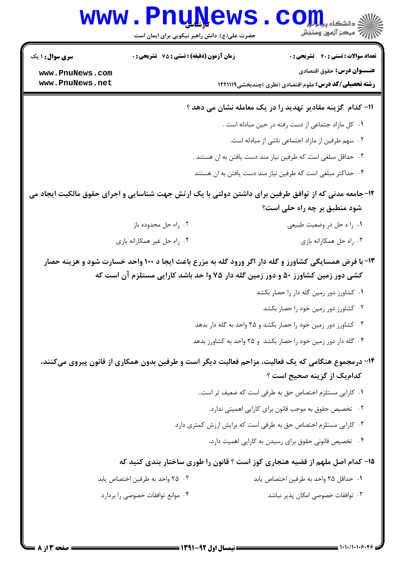# WWW.PnuNews.com

حضرت علی(ع): دانش راهبر نیکویی برای ایمان است

**تعداد سوالات : تستی : 40 قشریحی : 0** 

زمان آزمون (دقيقه) : تستى : 75 تشريحي : 0

عنـــوان درس: حقوق اقتصادي

**رشته تحصیلی/کد درس:** علوم اقتصادی (نظری )چندبخشی1221119 ۱۲

www.PnuNews.com www.PnuNews.net

**سری سوال : ۱ یک** 

#### 11- کدام گزینه مقادیر تهدید را در یک معامله نشان می دهد ؟

- ٠١. كل مازاد جتماعي از دست رفته در حين مبادله است .
	- ۰۲ سهم طرفین از مازاد اجتماعی ناشی از مبادله است.
- ۰۳ حداقل مبلغي است كه طرفين نياز مند دست يافتن به ان هستند .
- ۰۴ حداکثر مبلغی است که طرفین نیاز مند دست یافتن به ان هستند
- ۱۲-جامعه مدنی که از توافق طرفین برای داشتن دولتی با یک ارتش جهت شناسایی و اجرای حقوق مالکیت ایجاد می شود منطبق بر چه راه حلی است؟
	- ۰۲ , اه حل محدوده باز ۰۱ را ه حل در وضعیت طبیعی ۰۴ اه حل غیر همکارانه بازی ۰۳. راه حل همکارانه بازی
	- ۱۳- با فرض همسایگی کشاورز و گله دار اگر ورود گله به مزرع باعث ایجا د ۱۰۰ واحد خسارت شود و هزینه حصار کشی دور زمین کشاورز ۵۰ و دور زمین گله دار ۷۵ وا حد باشد کارایی مستلزم آن است که
		- ٠١ كشاورز دور زمين كله دار را حصار بكشد
			- ۰۲ کشاورز دور زمین خود را حصار بکشد
		- ۰۳ کشاورز دور زمین خود را حصار بکشد و ۲۵ واحد به گله دار بدهد
		- ۰۴ گله دار دور زمین خود را حصار بکشد و ۲۵ واحد به کشاورز بدهد

## ۱۴– درمجموع هنگامی که یک فعالیت، مزاحم فعالیت دیگر است و طرفین بدون همکاری از قانون پیروی میکنند، كداميك از گزينه صحيح است ؟

- ٠١ كارايي مستلزم اختصاص حق به طرفي است كه ضعيف تر است..
	- ۰۲ تخصیص حقوق به موجب قانون برای کارایی اهمیتی ندارد.
- ۰۳ کارایی مستلزم اختصاص حق به طرفی است که برایش ارزش کمتری دارد
	- ۰۴ تخصیص قانونی حقوق برای رسیدن به کارایی اهمیت دارد،

### ۱۵– کدام اصل ملهم از قضیه هنجاری کوز است ؟ قانون را طوری ساختار بندی کنید که

- ٢، ٢٥ واحد به طرفين اختصاص يابد ٠١. حداقل ٢۵ واحد به طرفين اختصاص يابد
- ۰۴ موانع توافقات خصوصی را بردارد ۰۳ توافقات خصوصی امکان پذیر نباشد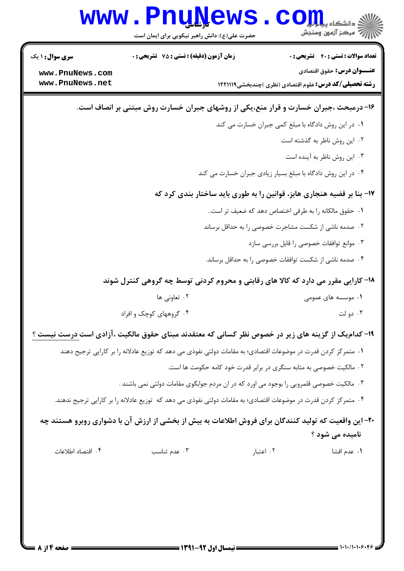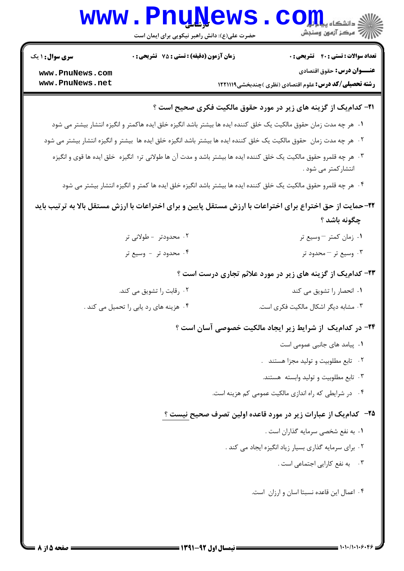|                                                          | <b>WWW.PNUNEWS</b><br>حضرت علی(ع): دانش راهبر نیکویی برای ایمان است | $\mathbf{C}\mathbf{O}$ اشکاه پیلی<br>/// مرکز آزمون وسنجش                                                                                 |  |  |  |
|----------------------------------------------------------|---------------------------------------------------------------------|-------------------------------------------------------------------------------------------------------------------------------------------|--|--|--|
| <b>سری سوال : ۱ یک</b>                                   | زمان آزمون (دقیقه) : تستی : 75 گشریحی : 0                           | <b>تعداد سوالات : تستی : 40 - تشریحی : .</b>                                                                                              |  |  |  |
| www.PnuNews.com<br>www.PnuNews.net                       |                                                                     | <b>عنـــوان درس:</b> حقوق اقتصادي<br><b>رشته تحصیلی/کد درس:</b> علوم اقتصادی (نظری )چندبخشی1۲۲۱۱۱۹                                        |  |  |  |
|                                                          |                                                                     | <b>۳۱- کدام یک از گزینه های زیر در مورد حقوق مالکیت فکری صحیح است</b> ؟                                                                   |  |  |  |
|                                                          |                                                                     | ۰۱ هر چه مدت زمان حقوق مالکیت یک خلق کننده ایده ها بیشتر باشد انگیزه خلق ایده هاکمتر و انگیزه انتشار بیشتر می شود                         |  |  |  |
|                                                          |                                                                     | ۰۲ هر چه مدت زمان حقوق مالکیت یک خلق کننده ایده ها بیشتر باشد انگیزه خلق ایده ها بیشتر و انگیزه انتشار بیشتر می شود                       |  |  |  |
|                                                          |                                                                     | ۰۳ هر چه قلمرو حقوق مالکیت یک خلق کننده ایده ها بیشتر باشد و مدت آن ها طولانی تر؛ انگیزه  خلق ایده ها قوی و انگیزه<br>انتشارکمتر می شود . |  |  |  |
|                                                          |                                                                     | ۰۴ هر چه قلمرو حقوق مالکیت یک خلق کننده ایده ها بیشتر باشد انگیزه خلق ایده ها کمتر و انگیزه انتشار بیشتر می شود                           |  |  |  |
|                                                          |                                                                     | ۲۲–حمایت از حق اختراع برای اختراعات با ارزش مستقل پایین و برای اختراعات با ارزش مستقل بالا به ترتیب باید<br>چگونه باشد ؟                  |  |  |  |
|                                                          | ۲. محدودتر - طولانی تر                                              | ۰۱ زمان کمتر –وسیع تر                                                                                                                     |  |  |  |
|                                                          | ۰۴ محدود تر - وسیع تر                                               | ۰۳ وسیع تر – محدود تر                                                                                                                     |  |  |  |
|                                                          | ۲۳- کدام یک از گزینه های زیر در مورد علائم تجاری درست است ؟         |                                                                                                                                           |  |  |  |
|                                                          | ۰۲ رقابت را تشویق می کند.                                           | ۰۱ انحصار را تشویق می کند                                                                                                                 |  |  |  |
|                                                          | ۰۴ هزینه های رد یابی را تحمیل می کند .                              | ۰۳ مشابه دیگر اشکال مالکیت فکری است.                                                                                                      |  |  |  |
| ۲۴- در کدامیک از شرایط زیر ایجاد مالکیت خصوصی آسان است ؟ |                                                                     |                                                                                                                                           |  |  |  |
|                                                          |                                                                     | ٠١. پیامد های جانبی عمومی است                                                                                                             |  |  |  |
|                                                          |                                                                     | ۰۲ تابع مطلوبيت و توليد مجزا هستند.                                                                                                       |  |  |  |
|                                                          |                                                                     | ۰۳ تابع مطلوبیت و تولید وابسته هستند.                                                                                                     |  |  |  |
|                                                          |                                                                     | ۰۴ در شرایطی که راه اندازی مالکیت عمومی کم هزینه است.                                                                                     |  |  |  |
|                                                          |                                                                     | ۲۵– کدام یک از عبارات زیر در مورد قاعده اولین تصرف صحیح نیست ؟                                                                            |  |  |  |
|                                                          |                                                                     | ٠١. به نفع شخصي سرمايه گذاران است .                                                                                                       |  |  |  |
|                                                          |                                                                     | ۰۲ برای سرمایه گذاری بسیار زیاد انگیزه ایجاد می کند .                                                                                     |  |  |  |
|                                                          |                                                                     | ۰۳ به نفع کارایی اجتماعی است .                                                                                                            |  |  |  |
|                                                          |                                                                     | ۰۴ اعمال این قاعده نسبتا اسان و ارزان است.                                                                                                |  |  |  |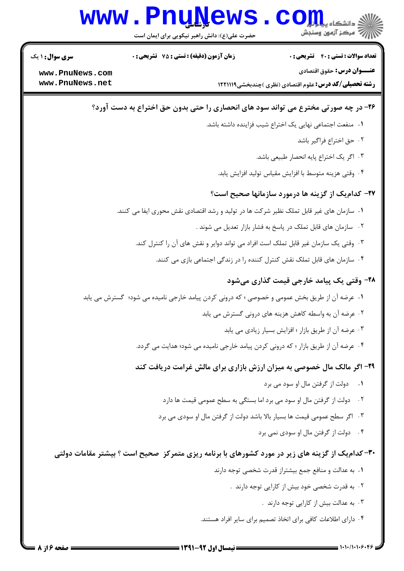

تعداد سوالات : تستي : 40 - تشريحي : 0

**زمان آزمون (دقیقه) : تستی : 75 ٪ تشریحی : 0** 

**سری سوال : ۱ یک** 

عنـــوان درس: حقوق اقتصادي

**رشته تحصیلی/کد درس: ع**لوم اقتصادی (نظری )چندبخشی1۲۲۱۱۱۹

www.PnuNews.com www.PnuNews.net

### ۲۶- در چه صورتی مخترع می تواند سود های انحصاری را حتی بدون حق اختراع به دست آورد؟

- ٠١. منفعت اجتماعي نهايي يک اختراع شيب فزاينده داشته باشد.
	- ٢. حق اختراع فراگير باشد
	- ۰۳ اگر یک اختراع پایه انحصار طبیعی باشد.
	- ۰۴ وقتی هزینه متوسط با افزایش مقیاس تولید افزایش یابد.

### ٢٧- كدام يك از گزينه ها درمورد سازمانها صحيح است؟

- ۰۱ سازمان های غیر قابل تملک نظیر شرکت ها در تولید و رشد اقتصادی نقش محوری ایفا می کنند.
	- ۰۲ سازمان های قابل تملک در پاسخ به فشار بازار تعدیل می شوند .
	- ۰۳ وقتی یک سازمان غیر قابل تملک است افراد می تواند دوایر و نقش های آن را کنترل کند.
		- ۰۴ سازمان های قابل تملک نقش کنترل کننده را در زندگی اجتماعی بازی می کنند.

### **۲۸-** وقتی یک پیامد خارجی قیمت گذاری میشود

- ۰۱ عرضه آن از طریق بخش عمومی و خصوصی ؛ که درونی کردن پیامد خارجی نامیده می شود؛ گسترش می یابد
	- ۰۲ عرضه آن به واسطه کاهش هزینه های درونی گسترش می یابد
		- ۰۳ عرضه آن از طریق بازار ؛ افزایش بسیار زیادی می یابد
	- ۰۴ عرضه آن از طریق بازار ؛ که درونی کردن پیامد خارجی نامیده می شود؛ هدایت می گردد.

### ۲۹- اگر مالک مال خصوصی به میزان ارزش بازاری برای مالش غرامت دریافت کند

- ٠١ دولت از گرفتن مال او سود مي برد
- ۰۲ دولت از گرفتن مال او سود می برد اما بستگی به سطح عمومی قیمت ها دارد
- ۰۳ اگر سطح عمومی قیمت ها بسیار بالا باشد دولت از گرفتن مال او سودی می برد
	- ۰۴ دولت از گرفتن مال او سودی نمی برد

### **۳۰**- کدام یک از گزینه های زیر در مورد کشورهای با برنامه ریزی متمرکز ً صحیح است ؟ بیشتر مقامات دولتی

- ٠١. به عدالت و منافع جمع بيشتراز قدرت شخصى توجه دارند
	- ۲ . به قدرت شخصی خود بیش از کارایی توجه دارند .
		- ۰۳ به عدالت بیش از کارایی توجه دارند .
- ۰۴ دارای اطلاعات کافی برای اتخاذ تصمیم برای سایر افراد هستند.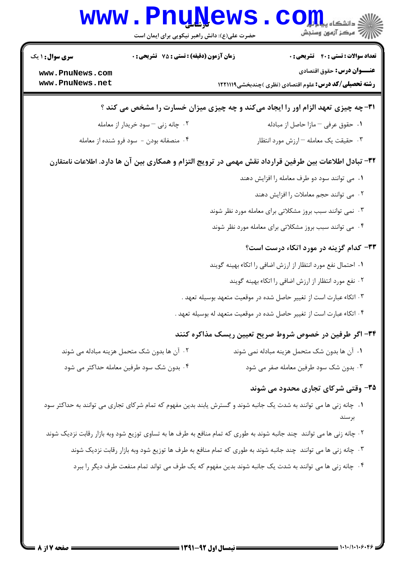|                                                                                                        | <b>www.PnuNews</b><br>حضرت علی(ع): دانش راهبر نیکویی برای ایمان است |  | $\mathbf{C}\mathbf{O}$ دانشڪاه پيا برائي                                                                                     |  |  |
|--------------------------------------------------------------------------------------------------------|---------------------------------------------------------------------|--|------------------------------------------------------------------------------------------------------------------------------|--|--|
| <b>سری سوال : ۱ یک</b>                                                                                 | زمان آزمون (دقیقه) : تستی : 75 ٪ تشریحی : 0                         |  | <b>تعداد سوالات : تستی : 40 - تشریحی : 0</b>                                                                                 |  |  |
| www.PnuNews.com<br>www.PnuNews.net                                                                     |                                                                     |  | <b>عنـــوان درس:</b> حقوق اقتصادی<br><b>رشته تحصیلی/کد درس:</b> علوم اقتصادی (نظری )چندبخشی1۲۲۱۱۱۹                           |  |  |
|                                                                                                        |                                                                     |  | 31- چه چیزی تعهد الزام اور را ایجاد میکند و چه چیزی میزان خسارت را مشخص می کند ؟                                             |  |  |
|                                                                                                        | ۰۲ چانه زنی – سود خریدار از معامله                                  |  | ۰۱ حقوق عرفی – مازا حاصل از مبادله                                                                                           |  |  |
|                                                                                                        | ۰۴ منصفانه بودن - سود فرو شنده از معامله                            |  | ۰۳ حقیقت یک معامله –ارزش مورد انتظار                                                                                         |  |  |
| ۳۲– تبادل اطلاعات بین طرفین قرارداد نقش مهمی در ترویج التزام و همکاری بین آن ها دارد. اطلاعات نامتقارن |                                                                     |  |                                                                                                                              |  |  |
|                                                                                                        |                                                                     |  | ۰۱ می توانند سود دو طرف معامله را افزایش دهند                                                                                |  |  |
|                                                                                                        |                                                                     |  | ٠٢ مى توانند حجم معاملات را افزايش دهند                                                                                      |  |  |
|                                                                                                        |                                                                     |  | ۰۳ نمی توانند سبب بروز مشکلاتی برای معامله مورد نظر شوند                                                                     |  |  |
|                                                                                                        |                                                                     |  | ۰۴ می توانند سبب بروز مشکلاتی برای معامله مورد نظر شوند                                                                      |  |  |
|                                                                                                        |                                                                     |  | ۳۳- کدام گزینه در مورد اتکاء درست است؟                                                                                       |  |  |
|                                                                                                        |                                                                     |  | ۰۱ احتمال نفع مورد انتظار از ارزش اضافی را اتکاء بهینه گویند                                                                 |  |  |
|                                                                                                        |                                                                     |  | ۰۲ نفع مورد انتظار از ارزش اضافی را اتکاء بهینه گویند                                                                        |  |  |
|                                                                                                        |                                                                     |  | ۰۳ اتکاء عبارت است از تغییر حاصل شده در موقعیت متعهد بوسیله تعهد .                                                           |  |  |
|                                                                                                        |                                                                     |  | ۰۴ اتکاء عبارت است از تغییر حاصل شده در موقعیت متعهد له بوسیله تعهد .                                                        |  |  |
|                                                                                                        |                                                                     |  | ۳۴- اگر طرفین در خصوص شروط صریح تعیین ریسک مذاکره کنند                                                                       |  |  |
|                                                                                                        | ۰۲ آن ها بدون شک متحمل هزینه مبادله می شوند                         |  | ٠١ آن ها بدون شک متحمل هزينه مبادله نمي شوند                                                                                 |  |  |
|                                                                                                        | ۰۴ بدون شک سود طرفین معامله حداکثر می شود                           |  | ۰۳ بدون شک سود طرفین معامله صفر می شود                                                                                       |  |  |
|                                                                                                        |                                                                     |  | ۳۵- وقتی شرکای تجاری محدود می شوند                                                                                           |  |  |
|                                                                                                        |                                                                     |  | ۰۱ چانه زنی ها می توانند به شدت یک جانبه شوند و گسترش یابند بدین مفهوم که تمام شرکای تجاری می توانند به حداکثر سود<br>بر سند |  |  |
|                                                                                                        |                                                                     |  | ۲. چانه زنی ها می توانند چند جانبه شوند به طوری که تمام منافع به طرف ها به تساوی توزیع شود وبه بازار رقابت نزدیک شوند        |  |  |
|                                                                                                        |                                                                     |  | ۰۳ چانه زنی ها می توانند چند جانبه شوند به طوری که تمام منافع به طرف ها توزیع شود وبه بازار رقابت نزدیک شوند                 |  |  |
|                                                                                                        |                                                                     |  | ۰۴ چانه زنی ها می توانند به شدت یک جانبه شوند بدین مفهوم که یک طرف می تواند تمام منفعت طرف دیگر را ببرد                      |  |  |
|                                                                                                        |                                                                     |  |                                                                                                                              |  |  |
|                                                                                                        |                                                                     |  |                                                                                                                              |  |  |
|                                                                                                        |                                                                     |  |                                                                                                                              |  |  |